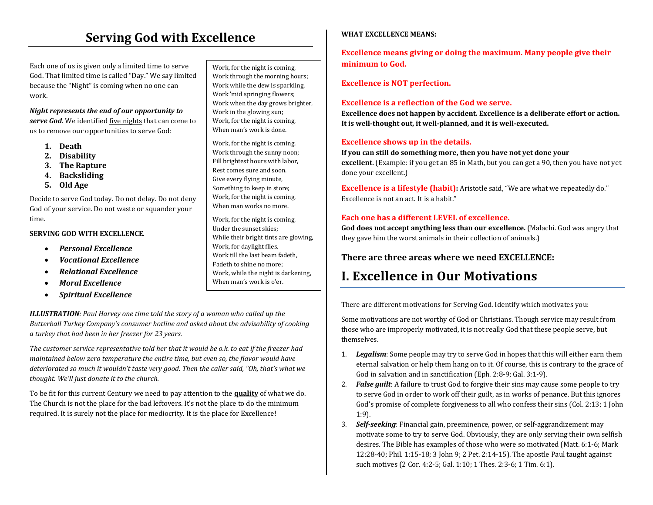## **Serving God with Excellence**

Each one of us is given only a limited time to serve God. That limited time is called "Day." We say limited because the "Night" is coming when no one can work.

#### *Night represents the end of our opportunity to*

*serve God.* We identified five nights that can come to us to remove our opportunities to serve God:

- **1. Death**
- **2. Disability**
- **3. The Rapture**
- **4. Backsliding**
- **5. Old Age**

Decide to serve God today. Do not delay. Do not deny God of your service. Do not waste or squander your time.

#### **SERVING GOD WITH EXCELLENCE**.

- $\bullet$ *Personal Excellence*
- •*Vocational Excellence*
- *Relational Excellence*
- •*Moral Excellence*
- $\bullet$ *Spiritual Excellence*

*ILLUSTRATION: Paul Harvey one time told the story of a woman who called up the Butterball Turkey Company's consumer hotline and asked about the advisability of cooking a turkey that had been in her freezer for 23 years.*

*The customer service representative told her that it would be o.k. to eat if the freezer had maintained below zero temperature the entire time, but even so, the flavor would have deteriorated so much it wouldn't taste very good. Then the caller said, "Oh, that's what we thought. We'll just donate it to the church.*

To be fit for this current Century we need to pay attention to the **quality** of what we do. The Church is not the place for the bad leftovers. It's not the place to do the minimum required. It is surely not the place for mediocrity. It is the place for Excellence!

Work, for the night is coming, Work through the morning hours; Work while the dew is sparkling, Work 'mid springing flowers; Work when the day grows brighter, Work in the glowing sun; Work, for the night is coming, When man's work is done.

Work, for the night is coming, Work through the sunny noon; Fill brightest hours with labor, Rest comes sure and soon. Give every flying minute, Something to keep in store; Work, for the night is coming, When man works no more.

Work, for the night is coming, Under the sunset skies; While their bright tints are glowing, Work, for daylight flies. Work till the last beam fadeth, Fadeth to shine no more; Work, while the night is darkening, When man's work is o'er.

#### **WHAT EXCELLENCE MEANS:**

**Excellence means giving or doing the maximum. Many people give their minimum to God.** 

**Excellence is NOT perfection.** 

### **Excellence is a reflection of the God we serve.**

**Excellence does not happen by accident. Excellence is a deliberate effort or action. It is well-thought out, it well-planned, and it is well-executed.** 

#### **Excellence shows up in the details.**

**If you can still do something more, then you have not yet done your excellent.** (Example: if you get an 85 in Math, but you can get a 90, then you have not yet done your excellent.)

**Excellence is a lifestyle (habit):** Aristotle said, "We are what we repeatedly do." Excellence is not an act. It is a habit."

### **Each one has a different LEVEL of excellence.**

**God does not accept anything less than our excellence.** (Malachi. God was angry that they gave him the worst animals in their collection of animals.)

## **There are three areas where we need EXCELLENCE:**

# **I. Excellence in Our Motivations**

There are different motivations for Serving God. Identify which motivates you:

Some motivations are not worthy of God or Christians. Though service may result from those who are improperly motivated, it is not really God that these people serve, but themselves.

- 1. *Legalism*: Some people may try to serve God in hopes that this will either earn them eternal salvation or help them hang on to it. Of course, this is contrary to the grace of God in salvation and in sanctification (Eph. 2:8-9; Gal. 3:1-9).
- 2. *False guilt*: A failure to trust God to forgive their sins may cause some people to try to serve God in order to work off their guilt, as in works of penance. But this ignores God's promise of complete forgiveness to all who confess their sins (Col. 2:13; 1 John 1:9).
- 3. *Self-seeking*: Financial gain, preeminence, power, or self-aggrandizement may motivate some to try to serve God. Obviously, they are only serving their own selfish desires. The Bible has examples of those who were so motivated (Matt. 6:1-6; Mark 12:28-40; Phil. 1:15-18; 3 John 9; 2 Pet. 2:14-15). The apostle Paul taught against such motives (2 Cor. 4:2-5; Gal. 1:10; 1 Thes. 2:3-6; 1 Tim. 6:1).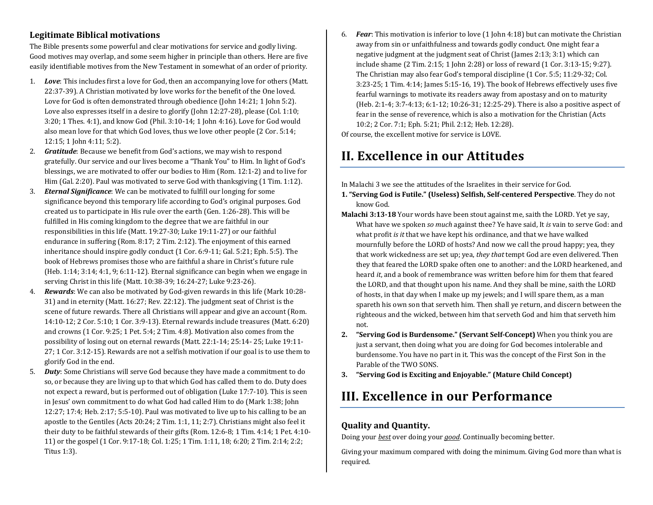## **Legitimate Biblical motivations**

The Bible presents some powerful and clear motivations for service and godly living. Good motives may overlap, and some seem higher in principle than others. Here are five easily identifiable motives from the New Testament in somewhat of an order of priority.

- 1. *Love*: This includes first a love for God, then an accompanying love for others (Matt. 22:37-39). A Christian motivated by love works for the benefit of the One loved. Love for God is often demonstrated through obedience (John 14:21; 1 John 5:2). Love also expresses itself in a desire to glorify (John 12:27-28), please (Col. 1:10; 3:20; 1 Thes. 4:1), and know God (Phil. 3:10-14; 1 John 4:16). Love for God would also mean love for that which God loves, thus we love other people (2 Cor. 5:14; 12:15; 1 John 4:11; 5:2).
- 2. *Gratitude*: Because we benefit from God's actions, we may wish to respond gratefully. Our service and our lives become a "Thank You" to Him. In light of God's blessings, we are motivated to offer our bodies to Him (Rom. 12:1-2) and to live for Him (Gal. 2:20). Paul was motivated to serve God with thanksgiving (1 Tim. 1:12).
- 3. *Eternal Significance*: We can be motivated to fulfill our longing for some significance beyond this temporary life according to God's original purposes. God created us to participate in His rule over the earth (Gen. 1:26-28). This will be fulfilled in His coming kingdom to the degree that we are faithful in our responsibilities in this life (Matt. 19:27-30; Luke 19:11-27) or our faithful endurance in suffering (Rom. 8:17; 2 Tim. 2:12). The enjoyment of this earned inheritance should inspire godly conduct (1 Cor. 6:9-11; Gal. 5:21; Eph. 5:5). The book of Hebrews promises those who are faithful a share in Christ's future rule (Heb. 1:14; 3:14; 4:1, 9; 6:11-12). Eternal significance can begin when we engage in serving Christ in this life (Matt. 10:38-39; 16:24-27; Luke 9:23-26).
- 4. *Rewards*: We can also be motivated by God-given rewards in this life (Mark 10:28-31) and in eternity (Matt. 16:27; Rev. 22:12). The judgment seat of Christ is the scene of future rewards. There all Christians will appear and give an account (Rom. 14:10-12; 2 Cor. 5:10; 1 Cor. 3:9-13). Eternal rewards include treasures (Matt. 6:20) and crowns (1 Cor. 9:25; 1 Pet. 5:4; 2 Tim. 4:8). Motivation also comes from the possibility of losing out on eternal rewards (Matt. 22:1-14; 25:14- 25; Luke 19:11-27; 1 Cor. 3:12-15). Rewards are not a selfish motivation if our goal is to use them to glorify God in the end.
- 5. *Duty*: Some Christians will serve God because they have made a commitment to do so, or because they are living up to that which God has called them to do. Duty does not expect a reward, but is performed out of obligation (Luke 17:7-10). This is seen in Jesus' own commitment to do what God had called Him to do (Mark 1:38; John 12:27; 17:4; Heb. 2:17; 5:5-10). Paul was motivated to live up to his calling to be an apostle to the Gentiles (Acts 20:24; 2 Tim. 1:1, 11; 2:7). Christians might also feel it their duty to be faithful stewards of their gifts (Rom. 12:6-8; 1 Tim. 4:14; 1 Pet. 4:10-11) or the gospel (1 Cor. 9:17-18; Col. 1:25; 1 Tim. 1:11, 18; 6:20; 2 Tim. 2:14; 2:2; Titus 1:3).

6. *Fear*: This motivation is inferior to love (1 John 4:18) but can motivate the Christian away from sin or unfaithfulness and towards godly conduct. One might fear a negative judgment at the judgment seat of Christ (James 2:13; 3:1) which can include shame (2 Tim. 2:15; 1 John 2:28) or loss of reward (1 Cor. 3:13-15; 9:27). The Christian may also fear God's temporal discipline (1 Cor. 5:5; 11:29-32; Col. 3:23-25; 1 Tim. 4:14; James 5:15-16, 19). The book of Hebrews effectively uses five fearful warnings to motivate its readers away from apostasy and on to maturity (Heb. 2:1-4; 3:7-4:13; 6:1-12; 10:26-31; 12:25-29). There is also a positive aspect of fear in the sense of reverence, which is also a motivation for the Christian (Acts 10:2; 2 Cor. 7:1; Eph. 5:21; Phil. 2:12; Heb. 12:28).

Of course, the excellent motive for service is LOVE.

## **II. Excellence in our Attitudes**

In Malachi 3 we see the attitudes of the Israelites in their service for God.

- **1. "Serving God is Futile." (Useless) Selfish, Self-centered Perspective**. They do not know God.
- **Malachi 3:13-18** Your words have been stout against me, saith the LORD. Yet ye say, What have we spoken *so much* against thee? Ye have said, It *is* vain to serve God: and what profit *is it* that we have kept his ordinance, and that we have walked mournfully before the LORD of hosts? And now we call the proud happy; yea, they that work wickedness are set up; yea, *they that* tempt God are even delivered. Then they that feared the LORD spake often one to another: and the LORD hearkened, and heard *it*, and a book of remembrance was written before him for them that feared the LORD, and that thought upon his name. And they shall be mine, saith the LORD of hosts, in that day when I make up my jewels; and I will spare them, as a man spareth his own son that serveth him. Then shall ye return, and discern between the righteous and the wicked, between him that serveth God and him that serveth him not.
- **2. "Serving God is Burdensome." (Servant Self-Concept)** When you think you are just a servant, then doing what you are doing for God becomes intolerable and burdensome. You have no part in it. This was the concept of the First Son in the Parable of the TWO SONS.
- **3. "Serving God is Exciting and Enjoyable." (Mature Child Concept)**

## **III. Excellence in our Performance**

## **Quality and Quantity.**

Doing your *best* over doing your *good*. Continually becoming better.

Giving your maximum compared with doing the minimum. Giving God more than what is required.